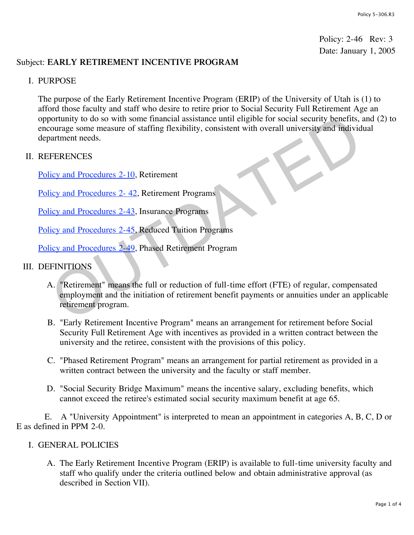Policy: 2-46 Rev: 3 Date: January 1, 2005

# Subject: **EARLY RETIREMENT INCENTIVE PROGRAM**

## I. PURPOSE

The purpose of the Early Retirement Incentive Program (ERIP) of the University of Utah is (1) to afford those faculty and staff who desire to retire prior to Social Security Full Retirement Age an opportunity to do so with some financial assistance until eligible for social security benefits, and (2) to encourage some measure of staffing flexibility, consistent with overall university and individual department needs.

## II. REFERENCES

Policy and Procedures 2-10, Retirement

Policy and Procedures 2- 42, Retirement Programs

Policy and Procedures 2-43, Insurance Programs

Policy and Procedures 2-45, Reduced Tuition Programs

Policy and Procedures 2-49, Phased Retirement Program

## III. DEFINITIONS

- A. "Retirement" means the full or reduction of full-time effort (FTE) of regular, compensated employment and the initiation of retirement benefit payments or annuities under an applicable retirement program. Solution to do so with some financial assistance until eligible for social security benefits,<br>ourage some measure of staffing flexibility, consistent with overall university and individual<br>artment needs.<br>FERENCES<br>icy and P
- B. "Early Retirement Incentive Program" means an arrangement for retirement before Social Security Full Retirement Age with incentives as provided in a written contract between the university and the retiree, consistent with the provisions of this policy.
- C. "Phased Retirement Program" means an arrangement for partial retirement as provided in a written contract between the university and the faculty or staff member.
- D. "Social Security Bridge Maximum" means the incentive salary, excluding benefits, which cannot exceed the retiree's estimated social security maximum benefit at age 65.

 E. A "University Appointment" is interpreted to mean an appointment in categories A, B, C, D or E as defined in PPM 2-0.

#### I. GENERAL POLICIES

A. The Early Retirement Incentive Program (ERIP) is available to full-time university faculty and staff who qualify under the criteria outlined below and obtain administrative approval (as described in Section VII).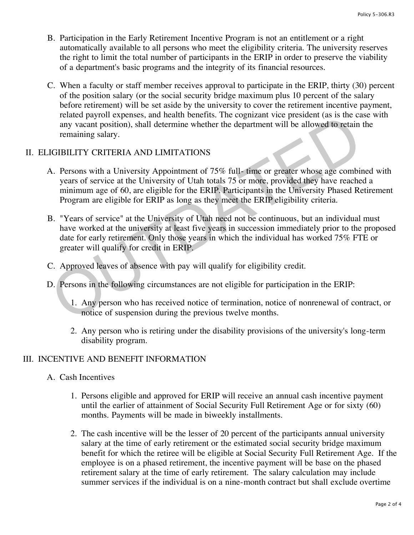- B. Participation in the Early Retirement Incentive Program is not an entitlement or a right automatically available to all persons who meet the eligibility criteria. The university reserves the right to limit the total number of participants in the ERIP in order to preserve the viability of a department's basic programs and the integrity of its financial resources.
- C. When a faculty or staff member receives approval to participate in the ERIP, thirty (30) percent of the position salary (or the social security bridge maximum plus 10 percent of the salary before retirement) will be set aside by the university to cover the retirement incentive payment, related payroll expenses, and health benefits. The cognizant vice president (as is the case with any vacant position), shall determine whether the department will be allowed to retain the remaining salary.

## II. ELIGIBILITY CRITERIA AND LIMITATIONS

- A. Persons with a University Appointment of 75% full- time or greater whose age combined with years of service at the University of Utah totals 75 or more, provided they have reached a minimum age of 60, are eligible for the ERIP. Participants in the University Phased Retirement Program are eligible for ERIP as long as they meet the ERIP eligibility criteria. related payon exploses, and nearlif beneficials. The cognizant vice pressident (as is the car<br>any vacant position), shall determine whether the department will be allowed to retain<br>remaining salary.<br>
IGIBILITY CRITERIA AND
- B. "Years of service" at the University of Utah need not be continuous, but an individual must have worked at the university at least five years in succession immediately prior to the proposed date for early retirement. Only those years in which the individual has worked 75% FTE or greater will qualify for credit in ERIP.
- C. Approved leaves of absence with pay will qualify for eligibility credit.
- D. Persons in the following circumstances are not eligible for participation in the ERIP:
	- 1. Any person who has received notice of termination, notice of nonrenewal of contract, or notice of suspension during the previous twelve months.
	- 2. Any person who is retiring under the disability provisions of the university's long-term disability program.

# III. INCENTIVE AND BENEFIT INFORMATION

- A. Cash Incentives
	- 1. Persons eligible and approved for ERIP will receive an annual cash incentive payment until the earlier of attainment of Social Security Full Retirement Age or for sixty (60) months. Payments will be made in biweekly installments.
	- 2. The cash incentive will be the lesser of 20 percent of the participants annual university salary at the time of early retirement or the estimated social security bridge maximum benefit for which the retiree will be eligible at Social Security Full Retirement Age. If the employee is on a phased retirement, the incentive payment will be base on the phased retirement salary at the time of early retirement. The salary calculation may include summer services if the individual is on a nine-month contract but shall exclude overtime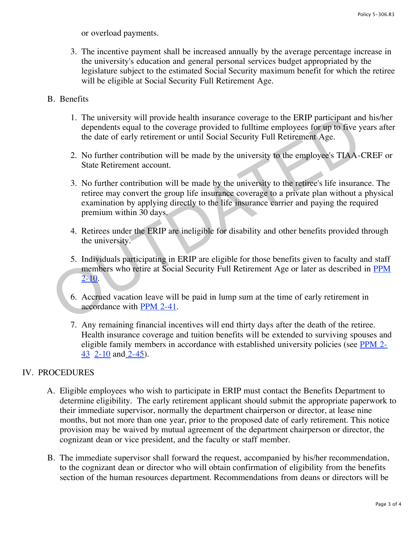or overload payments.

- 3. The incentive payment shall be increased annually by the average percentage increase in the university's education and general personal services budget appropriated by the legislature subject to the estimated Social Security maximum benefit for which the retiree will be eligible at Social Security Full Retirement Age.
- B. Benefits
	- 1. The university will provide health insurance coverage to the ERIP participant and his/her dependents equal to the coverage provided to fulltime employees for up to five years after the date of early retirement or until Social Security Full Retirement Age.
	- 2. No further contribution will be made by the university to the employee's TIAA-CREF or State Retirement account.
- 3. No further contribution will be made by the university to the retiree's life insurance. The retiree may convert the group life insurance coverage to a private plan without a physical examination by applying directly to the life insurance carrier and paying the required premium within 30 days. 1. The university will provide health insurance coverage to the ERIP participant and<br>dependents equal to the coverage provided to fulltime employees for up to five y<br>the date of early retirement or until Social Security F
	- 4. Retirees under the ERIP are ineligible for disability and other benefits provided through the university.
	- 5. Individuals participating in ERIP are eligible for those benefits given to faculty and staff members who retire at Social Security Full Retirement Age or later as described in **PPM**  $2 - 10$ .
	- 6. Accrued vacation leave will be paid in lump sum at the time of early retirement in accordance with PPM 2-41.
	- 7. Any remaining financial incentives will end thirty days after the death of the retiree. Health insurance coverage and tuition benefits will be extended to surviving spouses and eligible family members in accordance with established university policies (se[e PPM 2-](http://www.regulations.utah.edu/humanResources/5-303.html)  $\frac{43}{2}$  [2-10](http://www.regulations.utah.edu/humanResources/5-112.html) an[d 2-45\).](http://www.regulations.utah.edu/humanResources/5-305.html)

## IV. PROCEDURES

- A. Eligible employees who wish to participate in ERIP must contact the Benefits Department to determine eligibility. The early retirement applicant should submit the appropriate paperwork to their immediate supervisor, normally the department chairperson or director, at lease nine months, but not more than one year, prior to the proposed date of early retirement. This notice provision may be waived by mutual agreement of the department chairperson or director, the cognizant dean or vice president, and the faculty or staff member.
- B. The immediate supervisor shall forward the request, accompanied by his/her recommendation, to the cognizant dean or director who will obtain confirmation of eligibility from the benefits section of the human resources department. Recommendations from deans or directors will be